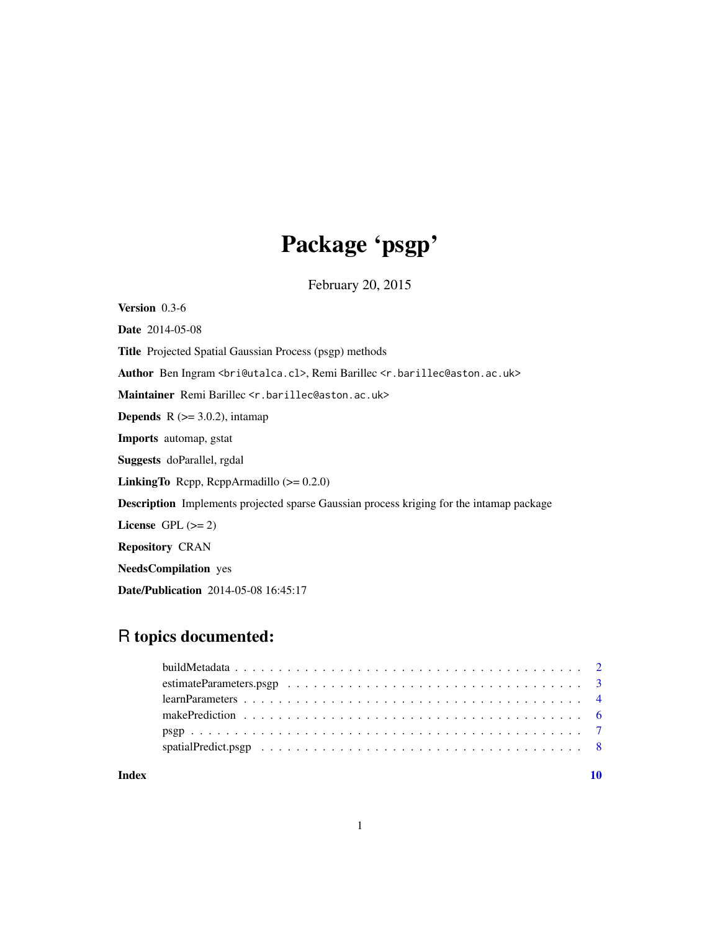# Package 'psgp'

February 20, 2015

<span id="page-0-0"></span>Version 0.3-6 Date 2014-05-08 Title Projected Spatial Gaussian Process (psgp) methods Author Ben Ingram <br />  $\epsilon$ ieutalca.cl>, Remi Barillec <r.barillec@aston.ac.uk> Maintainer Remi Barillec <r.barillec@aston.ac.uk> **Depends**  $R$  ( $>=$  3.0.2), intamap Imports automap, gstat Suggests doParallel, rgdal LinkingTo Rcpp, RcppArmadillo (>= 0.2.0) Description Implements projected sparse Gaussian process kriging for the intamap package License GPL  $(>= 2)$ Repository CRAN NeedsCompilation yes Date/Publication 2014-05-08 16:45:17

# R topics documented:

| $learn Parameters \ldots \ldots \ldots \ldots \ldots \ldots \ldots \ldots \ldots \ldots \ldots \ldots \ldots$ |  |
|---------------------------------------------------------------------------------------------------------------|--|
|                                                                                                               |  |
|                                                                                                               |  |
|                                                                                                               |  |
|                                                                                                               |  |

 $\blacksquare$ 

1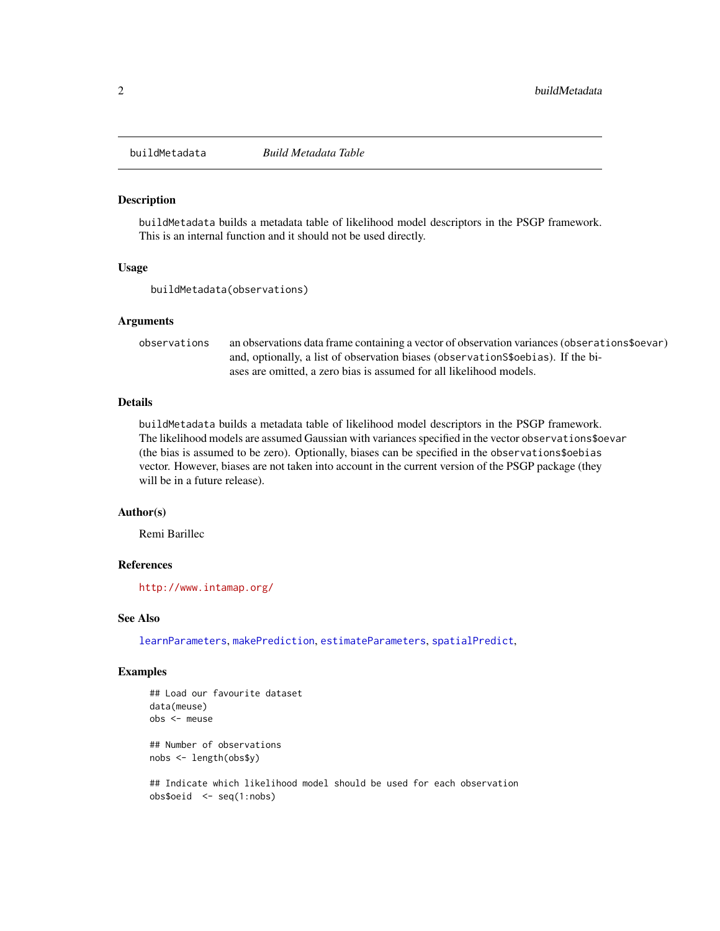<span id="page-1-0"></span>

### Description

buildMetadata builds a metadata table of likelihood model descriptors in the PSGP framework. This is an internal function and it should not be used directly.

#### Usage

buildMetadata(observations)

#### **Arguments**

observations an observations data frame containing a vector of observation variances (obserations\$oevar) and, optionally, a list of observation biases (observationS\$oebias). If the biases are omitted, a zero bias is assumed for all likelihood models.

# Details

buildMetadata builds a metadata table of likelihood model descriptors in the PSGP framework. The likelihood models are assumed Gaussian with variances specified in the vector observations\$oevar (the bias is assumed to be zero). Optionally, biases can be specified in the observations\$oebias vector. However, biases are not taken into account in the current version of the PSGP package (they will be in a future release).

#### Author(s)

Remi Barillec

#### **References**

<http://www.intamap.org/>

#### See Also

[learnParameters](#page-3-1), [makePrediction](#page-5-1), [estimateParameters](#page-2-1), [spatialPredict](#page-7-1),

#### Examples

```
## Load our favourite dataset
data(meuse)
obs <- meuse
## Number of observations
nobs <- length(obs$y)
```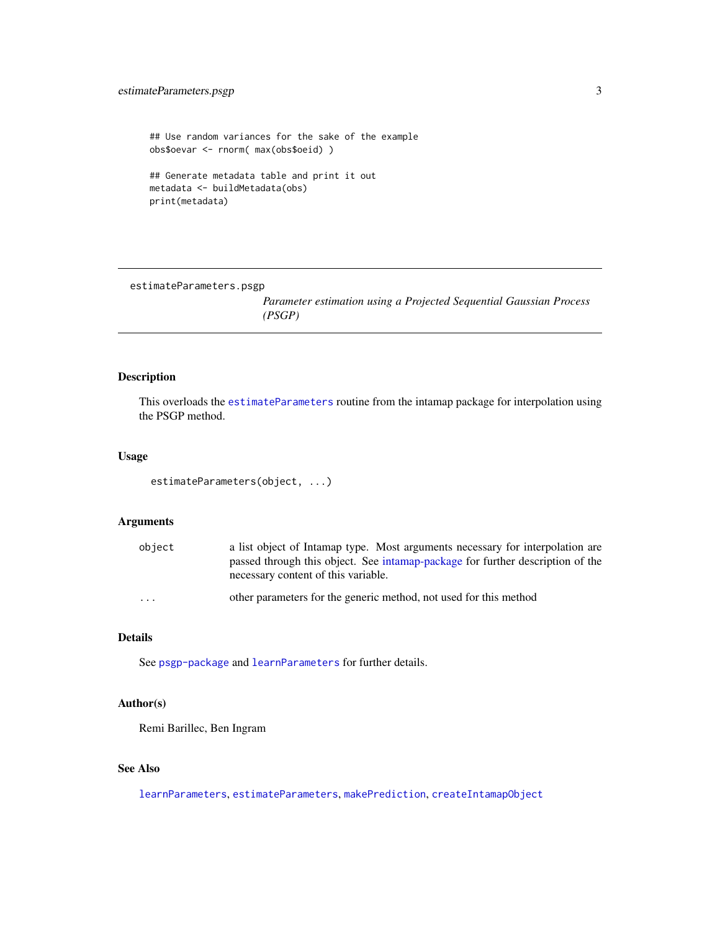# <span id="page-2-0"></span>estimateParameters.psgp 3

```
## Use random variances for the sake of the example
obs$oevar <- rnorm( max(obs$oeid) )
## Generate metadata table and print it out
metadata <- buildMetadata(obs)
print(metadata)
```
estimateParameters.psgp

*Parameter estimation using a Projected Sequential Gaussian Process (PSGP)*

# <span id="page-2-1"></span>Description

This overloads the [estimateParameters](#page-2-1) routine from the intamap package for interpolation using the PSGP method.

# Usage

```
estimateParameters(object, ...)
```
# Arguments

| object                  | a list object of Intamap type. Most arguments necessary for interpolation are<br>passed through this object. See intamap-package for further description of the<br>necessary content of this variable. |
|-------------------------|--------------------------------------------------------------------------------------------------------------------------------------------------------------------------------------------------------|
| $\cdot$ $\cdot$ $\cdot$ | other parameters for the generic method, not used for this method                                                                                                                                      |

# Details

See [psgp-package](#page-6-1) and [learnParameters](#page-3-1) for further details.

# Author(s)

Remi Barillec, Ben Ingram

# See Also

[learnParameters](#page-3-1), [estimateParameters](#page-2-1), [makePrediction](#page-5-1), [createIntamapObject](#page-0-0)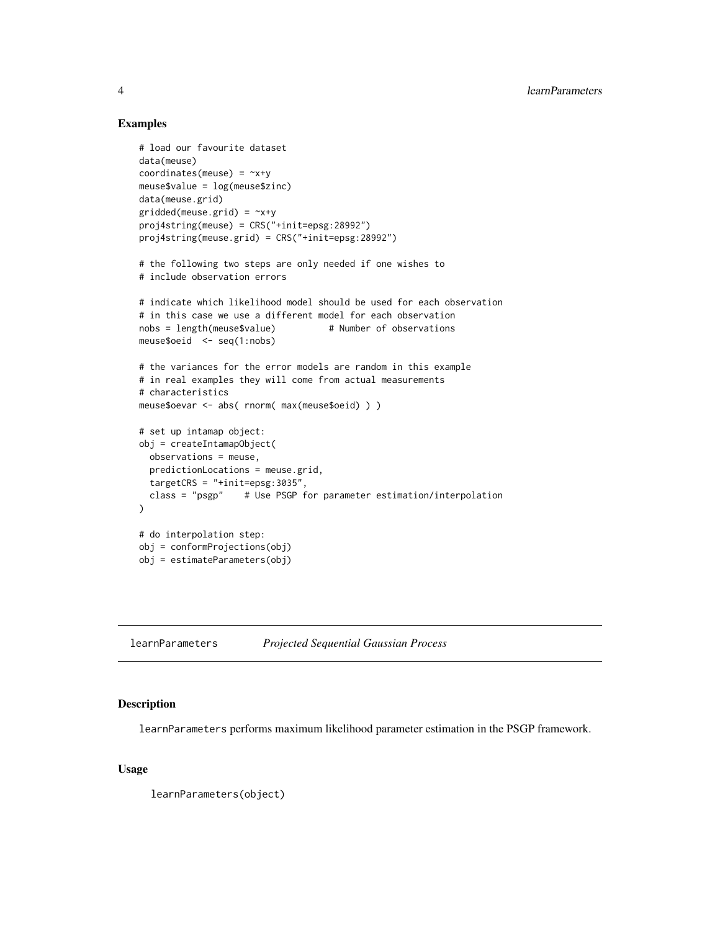### Examples

```
# load our favourite dataset
data(meuse)
coordinates(meuse) = -x+ymeuse$value = log(meuse$zinc)
data(meuse.grid)
gridded(meuse.grid) = -x+yproj4string(meuse) = CRS("+init=epsg:28992")
proj4string(meuse.grid) = CRS("+init=epsg:28992")
# the following two steps are only needed if one wishes to
# include observation errors
# indicate which likelihood model should be used for each observation
# in this case we use a different model for each observation
nobs = length(meuse$value) # Number of observations
meuse$oeid <- seq(1:nobs)
# the variances for the error models are random in this example
# in real examples they will come from actual measurements
# characteristics
meuse$oevar <- abs( rnorm( max(meuse$oeid) ) )
# set up intamap object:
obj = createIntamapObject(
 observations = meuse,
 predictionLocations = meuse.grid,
 targetCRS = "+init=epsg:3035",
 class = "psgp" # Use PSGP for parameter estimation/interpolation
)
# do interpolation step:
obj = conformProjections(obj)
obj = estimateParameters(obj)
```
<span id="page-3-1"></span>learnParameters *Projected Sequential Gaussian Process*

# Description

learnParameters performs maximum likelihood parameter estimation in the PSGP framework.

#### Usage

learnParameters(object)

<span id="page-3-0"></span>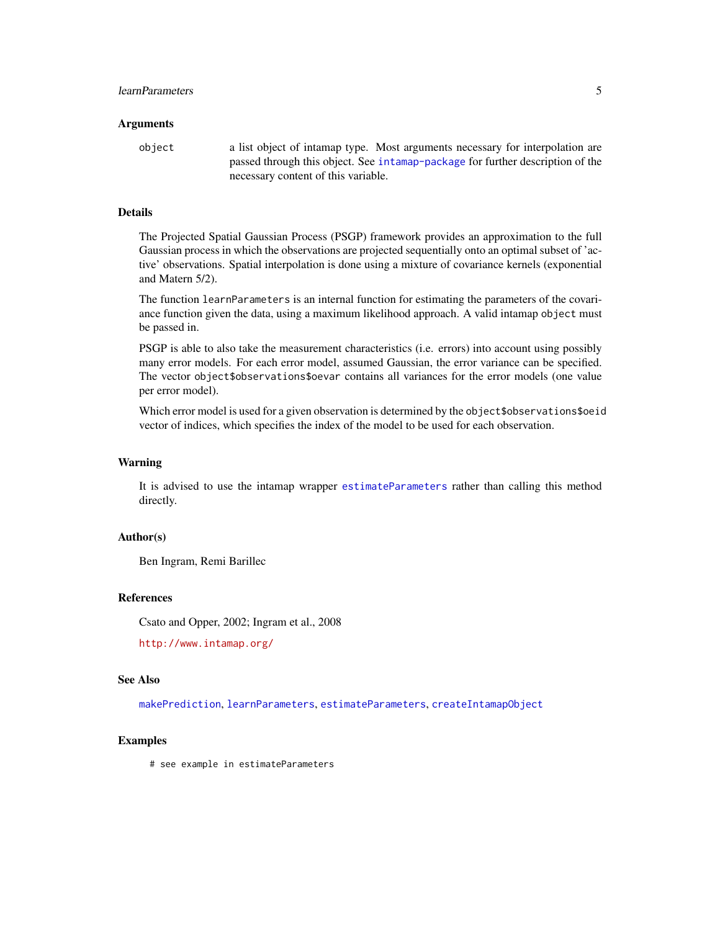#### <span id="page-4-0"></span>**Arguments**

object a list object of intamap type. Most arguments necessary for interpolation are passed through this object. See [intamap-package](#page-0-0) for further description of the necessary content of this variable.

# **Details**

The Projected Spatial Gaussian Process (PSGP) framework provides an approximation to the full Gaussian process in which the observations are projected sequentially onto an optimal subset of 'active' observations. Spatial interpolation is done using a mixture of covariance kernels (exponential and Matern 5/2).

The function learnParameters is an internal function for estimating the parameters of the covariance function given the data, using a maximum likelihood approach. A valid intamap object must be passed in.

PSGP is able to also take the measurement characteristics (i.e. errors) into account using possibly many error models. For each error model, assumed Gaussian, the error variance can be specified. The vector object\$observations\$oevar contains all variances for the error models (one value per error model).

Which error model is used for a given observation is determined by the object\$observations\$oeid vector of indices, which specifies the index of the model to be used for each observation.

#### Warning

It is advised to use the intamap wrapper [estimateParameters](#page-2-1) rather than calling this method directly.

# Author(s)

Ben Ingram, Remi Barillec

#### References

Csato and Opper, 2002; Ingram et al., 2008

<http://www.intamap.org/>

# See Also

[makePrediction](#page-5-1), [learnParameters](#page-3-1), [estimateParameters](#page-2-1), [createIntamapObject](#page-0-0)

#### Examples

# see example in estimateParameters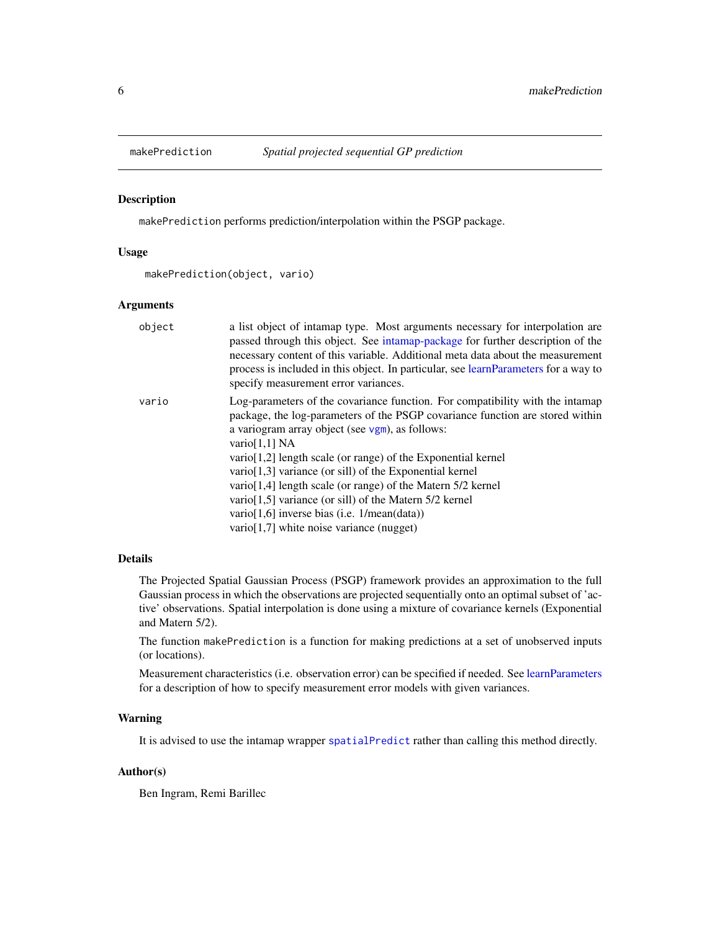<span id="page-5-1"></span><span id="page-5-0"></span>

#### Description

makePrediction performs prediction/interpolation within the PSGP package.

# Usage

makePrediction(object, vario)

# Arguments

| object | a list object of intamap type. Most arguments necessary for interpolation are<br>passed through this object. See intamap-package for further description of the<br>necessary content of this variable. Additional meta data about the measurement<br>process is included in this object. In particular, see learnParameters for a way to<br>specify measurement error variances.                                                                 |
|--------|--------------------------------------------------------------------------------------------------------------------------------------------------------------------------------------------------------------------------------------------------------------------------------------------------------------------------------------------------------------------------------------------------------------------------------------------------|
| vario  | Log-parameters of the covariance function. For compatibility with the intamap<br>package, the log-parameters of the PSGP covariance function are stored within<br>a variogram array object (see $vgm$ ), as follows:<br>vario $[1,1]$ NA<br>$\varphi$ vario [1,2] length scale (or range) of the Exponential kernel<br>vario[1,3] variance (or sill) of the Exponential kernel<br>vario [1,4] length scale (or range) of the Matern $5/2$ kernel |
|        | vario [1,5] variance (or sill) of the Matern $5/2$ kernel<br>vario[1,6] inverse bias (i.e. $1/mean(data)$ )<br>$vario[1,7]$ white noise variance (nugget)                                                                                                                                                                                                                                                                                        |

#### Details

The Projected Spatial Gaussian Process (PSGP) framework provides an approximation to the full Gaussian process in which the observations are projected sequentially onto an optimal subset of 'active' observations. Spatial interpolation is done using a mixture of covariance kernels (Exponential and Matern 5/2).

The function makePrediction is a function for making predictions at a set of unobserved inputs (or locations).

Measurement characteristics (i.e. observation error) can be specified if needed. See [learnParameters](#page-3-1) for a description of how to specify measurement error models with given variances.

# Warning

It is advised to use the intamap wrapper [spatialPredict](#page-7-1) rather than calling this method directly.

# Author(s)

Ben Ingram, Remi Barillec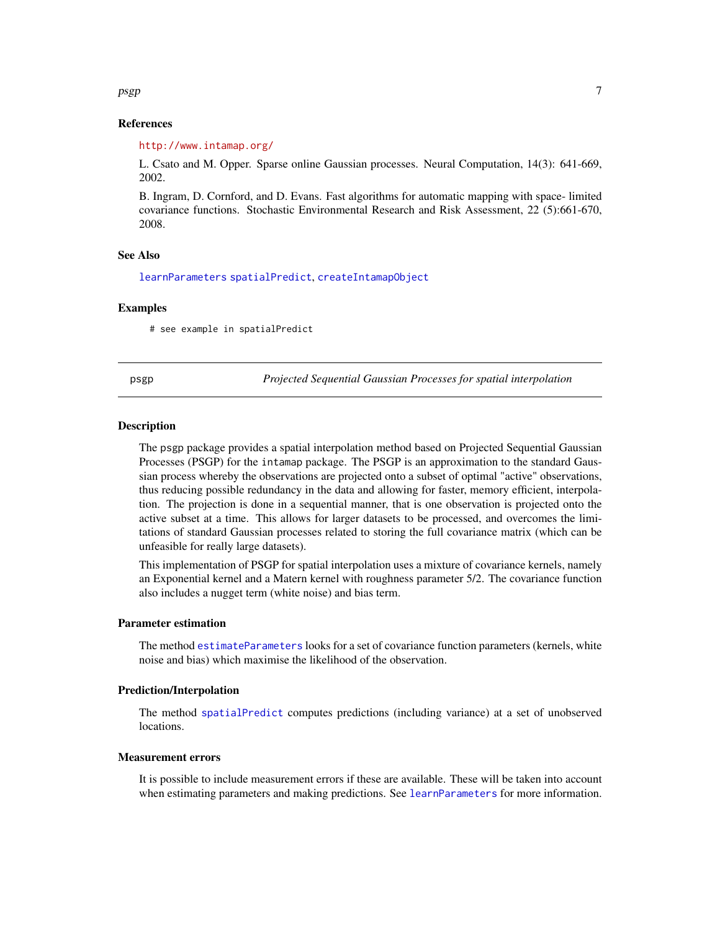#### <span id="page-6-0"></span> $p<sub>sp</sub>$  psgp  $\sim$  7

# References

<http://www.intamap.org/>

L. Csato and M. Opper. Sparse online Gaussian processes. Neural Computation, 14(3): 641-669, 2002.

B. Ingram, D. Cornford, and D. Evans. Fast algorithms for automatic mapping with space- limited covariance functions. Stochastic Environmental Research and Risk Assessment, 22 (5):661-670, 2008.

#### See Also

[learnParameters](#page-3-1) [spatialPredict](#page-7-1), [createIntamapObject](#page-0-0)

#### Examples

# see example in spatialPredict

psgp *Projected Sequential Gaussian Processes for spatial interpolation*

#### <span id="page-6-1"></span>Description

The psgp package provides a spatial interpolation method based on Projected Sequential Gaussian Processes (PSGP) for the intamap package. The PSGP is an approximation to the standard Gaussian process whereby the observations are projected onto a subset of optimal "active" observations, thus reducing possible redundancy in the data and allowing for faster, memory efficient, interpolation. The projection is done in a sequential manner, that is one observation is projected onto the active subset at a time. This allows for larger datasets to be processed, and overcomes the limitations of standard Gaussian processes related to storing the full covariance matrix (which can be unfeasible for really large datasets).

This implementation of PSGP for spatial interpolation uses a mixture of covariance kernels, namely an Exponential kernel and a Matern kernel with roughness parameter 5/2. The covariance function also includes a nugget term (white noise) and bias term.

#### Parameter estimation

The method [estimateParameters](#page-2-1) looks for a set of covariance function parameters (kernels, white noise and bias) which maximise the likelihood of the observation.

#### Prediction/Interpolation

The method [spatialPredict](#page-7-1) computes predictions (including variance) at a set of unobserved locations.

#### Measurement errors

It is possible to include measurement errors if these are available. These will be taken into account when estimating parameters and making predictions. See [learnParameters](#page-3-1) for more information.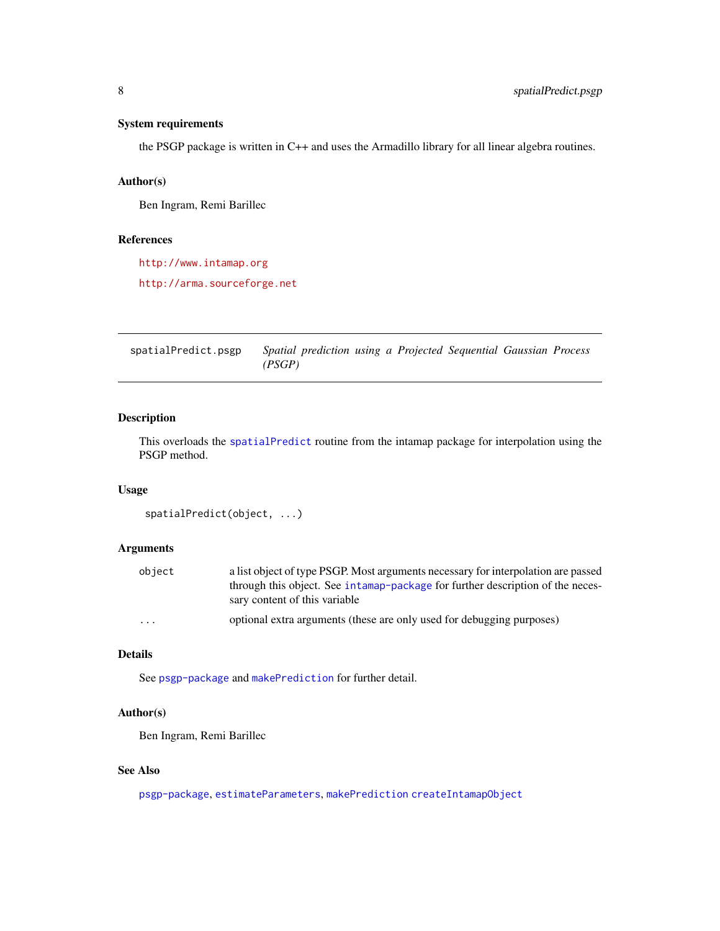# <span id="page-7-0"></span>System requirements

the PSGP package is written in C++ and uses the Armadillo library for all linear algebra routines.

### Author(s)

Ben Ingram, Remi Barillec

### References

<http://www.intamap.org>

<http://arma.sourceforge.net>

spatialPredict.psgp *Spatial prediction using a Projected Sequential Gaussian Process (PSGP)*

#### <span id="page-7-1"></span>Description

This overloads the [spatialPredict](#page-7-1) routine from the intamap package for interpolation using the PSGP method.

#### Usage

```
spatialPredict(object, ...)
```
# Arguments

| obiect   | a list object of type PSGP. Most arguments necessary for interpolation are passed |
|----------|-----------------------------------------------------------------------------------|
|          | through this object. See intamap-package for further description of the neces-    |
|          | sary content of this variable                                                     |
| $\cdots$ | optional extra arguments (these are only used for debugging purposes)             |

### Details

See [psgp-package](#page-6-1) and [makePrediction](#page-5-1) for further detail.

#### Author(s)

Ben Ingram, Remi Barillec

# See Also

[psgp-package](#page-6-1), [estimateParameters](#page-2-1), [makePrediction](#page-5-1) [createIntamapObject](#page-0-0)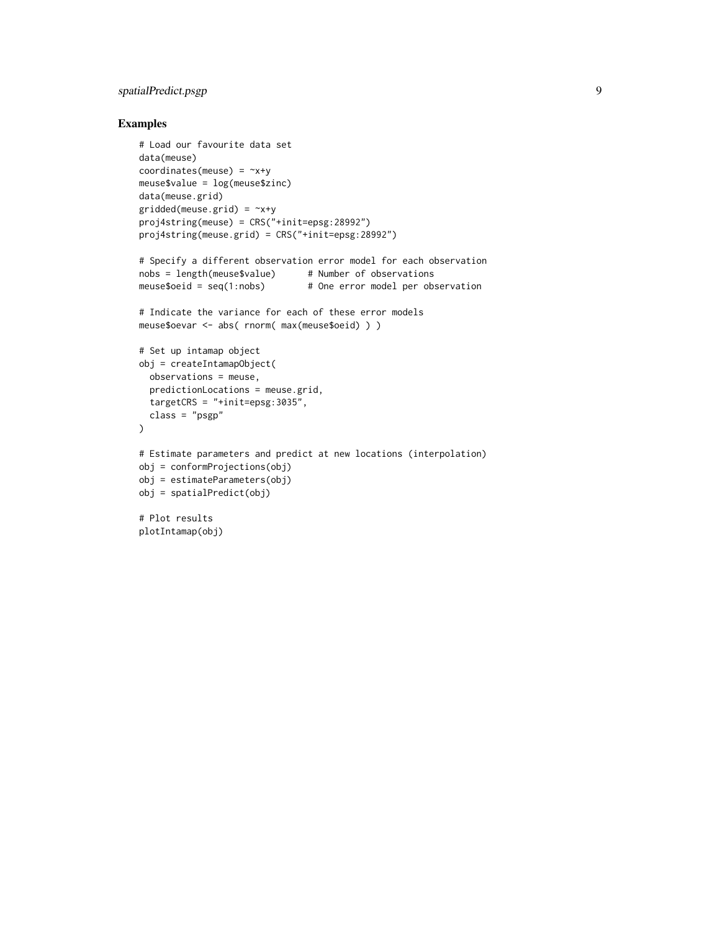# spatialPredict.psgp 9

# Examples

```
# Load our favourite data set
data(meuse)
coordinates(meuse) = -x+ymeuse$value = log(meuse$zinc)
data(meuse.grid)
gridded(meuse.grid) = -x+yproj4string(meuse) = CRS("+init=epsg:28992")
proj4string(meuse.grid) = CRS("+init=epsg:28992")
# Specify a different observation error model for each observation
nobs = length(meuse$value) # Number of observations
meuse$oeid = seq(1:nobs) # One error model per observation
# Indicate the variance for each of these error models
meuse$oevar <- abs( rnorm( max(meuse$oeid) ) )
# Set up intamap object
obj = createIntamapObject(
 observations = meuse,
 predictionLocations = meuse.grid,
 targetCRS = "+init=epsg:3035",
 class = "psgp"
)
# Estimate parameters and predict at new locations (interpolation)
obj = conformProjections(obj)
obj = estimateParameters(obj)
obj = spatialPredict(obj)
# Plot results
plotIntamap(obj)
```